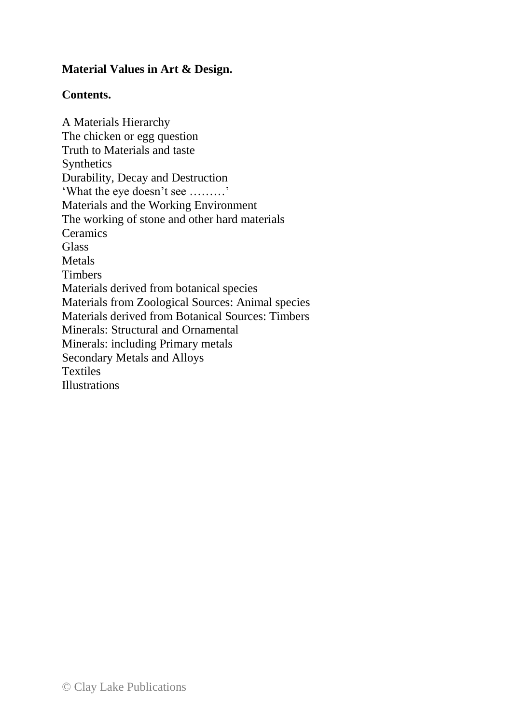## **Material Values in Art & Design.**

## **Contents.**

A Materials Hierarchy The chicken or egg question Truth to Materials and taste Synthetics Durability, Decay and Destruction 'What the eye doesn't see ………' Materials and the Working Environment The working of stone and other hard materials **Ceramics Glass** Metals **Timbers** Materials derived from botanical species Materials from Zoological Sources: Animal species Materials derived from Botanical Sources: Timbers Minerals: Structural and Ornamental Minerals: including Primary metals Secondary Metals and Alloys Textiles Illustrations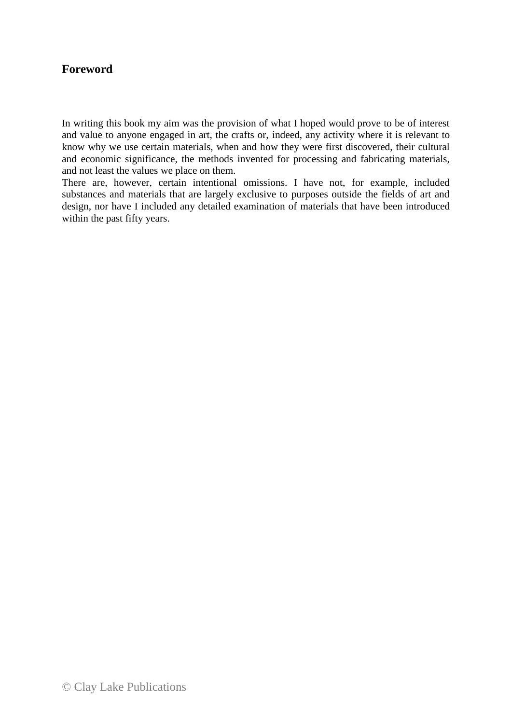## **Foreword**

In writing this book my aim was the provision of what I hoped would prove to be of interest and value to anyone engaged in art, the crafts or, indeed, any activity where it is relevant to know why we use certain materials, when and how they were first discovered, their cultural and economic significance, the methods invented for processing and fabricating materials, and not least the values we place on them.

There are, however, certain intentional omissions. I have not, for example, included substances and materials that are largely exclusive to purposes outside the fields of art and design, nor have I included any detailed examination of materials that have been introduced within the past fifty years.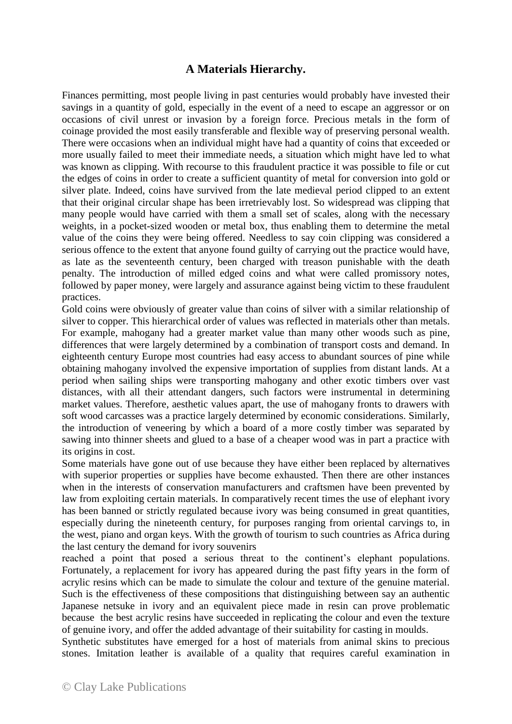## **A Materials Hierarchy.**

Finances permitting, most people living in past centuries would probably have invested their savings in a quantity of gold, especially in the event of a need to escape an aggressor or on occasions of civil unrest or invasion by a foreign force. Precious metals in the form of coinage provided the most easily transferable and flexible way of preserving personal wealth. There were occasions when an individual might have had a quantity of coins that exceeded or more usually failed to meet their immediate needs, a situation which might have led to what was known as clipping. With recourse to this fraudulent practice it was possible to file or cut the edges of coins in order to create a sufficient quantity of metal for conversion into gold or silver plate. Indeed, coins have survived from the late medieval period clipped to an extent that their original circular shape has been irretrievably lost. So widespread was clipping that many people would have carried with them a small set of scales, along with the necessary weights, in a pocket-sized wooden or metal box, thus enabling them to determine the metal value of the coins they were being offered. Needless to say coin clipping was considered a serious offence to the extent that anyone found guilty of carrying out the practice would have, as late as the seventeenth century, been charged with treason punishable with the death penalty. The introduction of milled edged coins and what were called promissory notes, followed by paper money, were largely and assurance against being victim to these fraudulent practices.

Gold coins were obviously of greater value than coins of silver with a similar relationship of silver to copper. This hierarchical order of values was reflected in materials other than metals. For example, mahogany had a greater market value than many other woods such as pine, differences that were largely determined by a combination of transport costs and demand. In eighteenth century Europe most countries had easy access to abundant sources of pine while obtaining mahogany involved the expensive importation of supplies from distant lands. At a period when sailing ships were transporting mahogany and other exotic timbers over vast distances, with all their attendant dangers, such factors were instrumental in determining market values. Therefore, aesthetic values apart, the use of mahogany fronts to drawers with soft wood carcasses was a practice largely determined by economic considerations. Similarly, the introduction of veneering by which a board of a more costly timber was separated by sawing into thinner sheets and glued to a base of a cheaper wood was in part a practice with its origins in cost.

Some materials have gone out of use because they have either been replaced by alternatives with superior properties or supplies have become exhausted. Then there are other instances when in the interests of conservation manufacturers and craftsmen have been prevented by law from exploiting certain materials. In comparatively recent times the use of elephant ivory has been banned or strictly regulated because ivory was being consumed in great quantities, especially during the nineteenth century, for purposes ranging from oriental carvings to, in the west, piano and organ keys. With the growth of tourism to such countries as Africa during the last century the demand for ivory souvenirs

reached a point that posed a serious threat to the continent's elephant populations. Fortunately, a replacement for ivory has appeared during the past fifty years in the form of acrylic resins which can be made to simulate the colour and texture of the genuine material. Such is the effectiveness of these compositions that distinguishing between say an authentic Japanese netsuke in ivory and an equivalent piece made in resin can prove problematic because the best acrylic resins have succeeded in replicating the colour and even the texture of genuine ivory, and offer the added advantage of their suitability for casting in moulds.

Synthetic substitutes have emerged for a host of materials from animal skins to precious stones. Imitation leather is available of a quality that requires careful examination in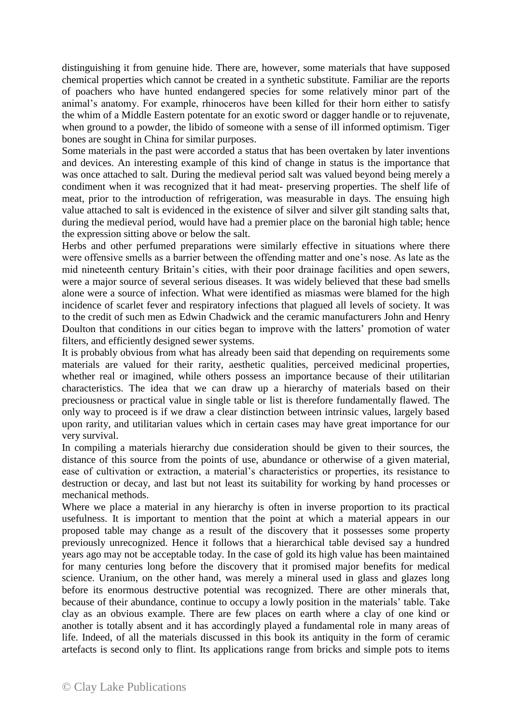distinguishing it from genuine hide. There are, however, some materials that have supposed chemical properties which cannot be created in a synthetic substitute. Familiar are the reports of poachers who have hunted endangered species for some relatively minor part of the animal's anatomy. For example, rhinoceros have been killed for their horn either to satisfy the whim of a Middle Eastern potentate for an exotic sword or dagger handle or to rejuvenate, when ground to a powder, the libido of someone with a sense of ill informed optimism. Tiger bones are sought in China for similar purposes.

Some materials in the past were accorded a status that has been overtaken by later inventions and devices. An interesting example of this kind of change in status is the importance that was once attached to salt. During the medieval period salt was valued beyond being merely a condiment when it was recognized that it had meat- preserving properties. The shelf life of meat, prior to the introduction of refrigeration, was measurable in days. The ensuing high value attached to salt is evidenced in the existence of silver and silver gilt standing salts that, during the medieval period, would have had a premier place on the baronial high table; hence the expression sitting above or below the salt.

Herbs and other perfumed preparations were similarly effective in situations where there were offensive smells as a barrier between the offending matter and one's nose. As late as the mid nineteenth century Britain's cities, with their poor drainage facilities and open sewers, were a major source of several serious diseases. It was widely believed that these bad smells alone were a source of infection. What were identified as miasmas were blamed for the high incidence of scarlet fever and respiratory infections that plagued all levels of society. It was to the credit of such men as Edwin Chadwick and the ceramic manufacturers John and Henry Doulton that conditions in our cities began to improve with the latters' promotion of water filters, and efficiently designed sewer systems.

It is probably obvious from what has already been said that depending on requirements some materials are valued for their rarity, aesthetic qualities, perceived medicinal properties, whether real or imagined, while others possess an importance because of their utilitarian characteristics. The idea that we can draw up a hierarchy of materials based on their preciousness or practical value in single table or list is therefore fundamentally flawed. The only way to proceed is if we draw a clear distinction between intrinsic values, largely based upon rarity, and utilitarian values which in certain cases may have great importance for our very survival.

In compiling a materials hierarchy due consideration should be given to their sources, the distance of this source from the points of use, abundance or otherwise of a given material, ease of cultivation or extraction, a material's characteristics or properties, its resistance to destruction or decay, and last but not least its suitability for working by hand processes or mechanical methods.

Where we place a material in any hierarchy is often in inverse proportion to its practical usefulness. It is important to mention that the point at which a material appears in our proposed table may change as a result of the discovery that it possesses some property previously unrecognized. Hence it follows that a hierarchical table devised say a hundred years ago may not be acceptable today. In the case of gold its high value has been maintained for many centuries long before the discovery that it promised major benefits for medical science. Uranium, on the other hand, was merely a mineral used in glass and glazes long before its enormous destructive potential was recognized. There are other minerals that, because of their abundance, continue to occupy a lowly position in the materials' table. Take clay as an obvious example. There are few places on earth where a clay of one kind or another is totally absent and it has accordingly played a fundamental role in many areas of life. Indeed, of all the materials discussed in this book its antiquity in the form of ceramic artefacts is second only to flint. Its applications range from bricks and simple pots to items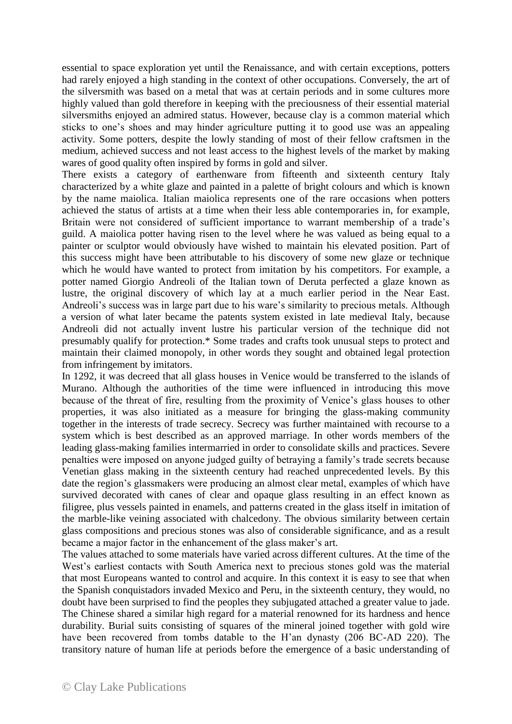essential to space exploration yet until the Renaissance, and with certain exceptions, potters had rarely enjoyed a high standing in the context of other occupations. Conversely, the art of the silversmith was based on a metal that was at certain periods and in some cultures more highly valued than gold therefore in keeping with the preciousness of their essential material silversmiths enjoyed an admired status. However, because clay is a common material which sticks to one's shoes and may hinder agriculture putting it to good use was an appealing activity. Some potters, despite the lowly standing of most of their fellow craftsmen in the medium, achieved success and not least access to the highest levels of the market by making wares of good quality often inspired by forms in gold and silver.

There exists a category of earthenware from fifteenth and sixteenth century Italy characterized by a white glaze and painted in a palette of bright colours and which is known by the name maiolica. Italian maiolica represents one of the rare occasions when potters achieved the status of artists at a time when their less able contemporaries in, for example, Britain were not considered of sufficient importance to warrant membership of a trade's guild. A maiolica potter having risen to the level where he was valued as being equal to a painter or sculptor would obviously have wished to maintain his elevated position. Part of this success might have been attributable to his discovery of some new glaze or technique which he would have wanted to protect from imitation by his competitors. For example, a potter named Giorgio Andreoli of the Italian town of Deruta perfected a glaze known as lustre, the original discovery of which lay at a much earlier period in the Near East. Andreoli's success was in large part due to his ware's similarity to precious metals. Although a version of what later became the patents system existed in late medieval Italy, because Andreoli did not actually invent lustre his particular version of the technique did not presumably qualify for protection.\* Some trades and crafts took unusual steps to protect and maintain their claimed monopoly, in other words they sought and obtained legal protection from infringement by imitators.

In 1292, it was decreed that all glass houses in Venice would be transferred to the islands of Murano. Although the authorities of the time were influenced in introducing this move because of the threat of fire, resulting from the proximity of Venice's glass houses to other properties, it was also initiated as a measure for bringing the glass-making community together in the interests of trade secrecy. Secrecy was further maintained with recourse to a system which is best described as an approved marriage. In other words members of the leading glass-making families intermarried in order to consolidate skills and practices. Severe penalties were imposed on anyone judged guilty of betraying a family's trade secrets because Venetian glass making in the sixteenth century had reached unprecedented levels. By this date the region's glassmakers were producing an almost clear metal, examples of which have survived decorated with canes of clear and opaque glass resulting in an effect known as filigree, plus vessels painted in enamels, and patterns created in the glass itself in imitation of the marble-like veining associated with chalcedony. The obvious similarity between certain glass compositions and precious stones was also of considerable significance, and as a result became a major factor in the enhancement of the glass maker's art.

The values attached to some materials have varied across different cultures. At the time of the West's earliest contacts with South America next to precious stones gold was the material that most Europeans wanted to control and acquire. In this context it is easy to see that when the Spanish conquistadors invaded Mexico and Peru, in the sixteenth century, they would, no doubt have been surprised to find the peoples they subjugated attached a greater value to jade. The Chinese shared a similar high regard for a material renowned for its hardness and hence durability. Burial suits consisting of squares of the mineral joined together with gold wire have been recovered from tombs datable to the H'an dynasty (206 BC-AD 220). The transitory nature of human life at periods before the emergence of a basic understanding of